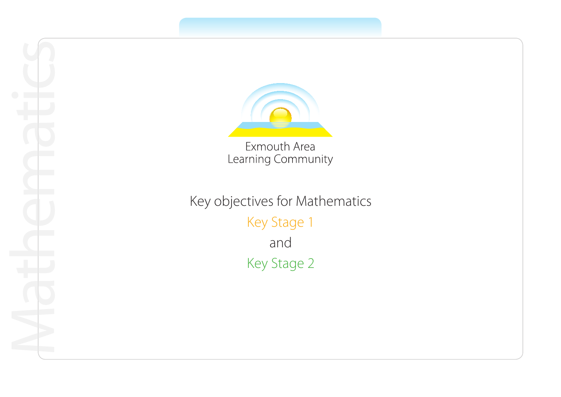

Learning Community

Key objectives for Mathematics Key Stage 1 and Key Stage 2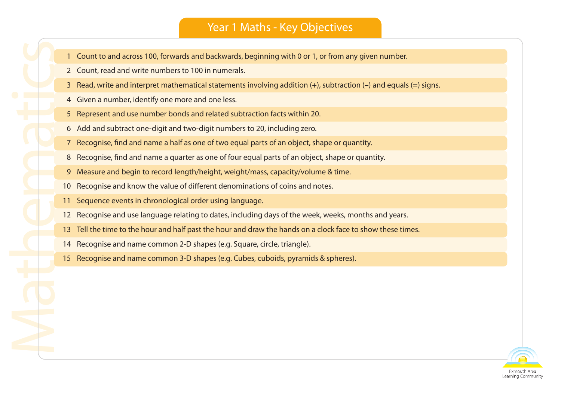#### Year 1 Maths - Key Objectives

- 1 Count to and across 100, forwards and backwards, beginning with 0 or 1, or from any given number.
- 2 Count, read and write numbers to 100 in numerals.
- 3 Read, write and interpret mathematical statements involving addition (+), subtraction (–) and equals (=) signs.
- 4 Given a number, identify one more and one less.
- 5 Represent and use number bonds and related subtraction facts within 20.
- 6 Add and subtract one-digit and two-digit numbers to 20, including zero.
- 7 Recognise, find and name a half as one of two equal parts of an object, shape or quantity.
- 8 Recognise, find and name a quarter as one of four equal parts of an object, shape or quantity.
- 9 Measure and begin to record length/height, weight/mass, capacity/volume & time.
- 10 Recognise and know the value of different denominations of coins and notes.
- 11 Sequence events in chronological order using language.

- 12 Recognise and use language relating to dates, including days of the week, weeks, months and years.
- 13 Tell the time to the hour and half past the hour and draw the hands on a clock face to show these times.
- 14 Recognise and name common 2-D shapes (e.g. Square, circle, triangle).
- 15 Recognise and name common 3-D shapes (e.g. Cubes, cuboids, pyramids & spheres).

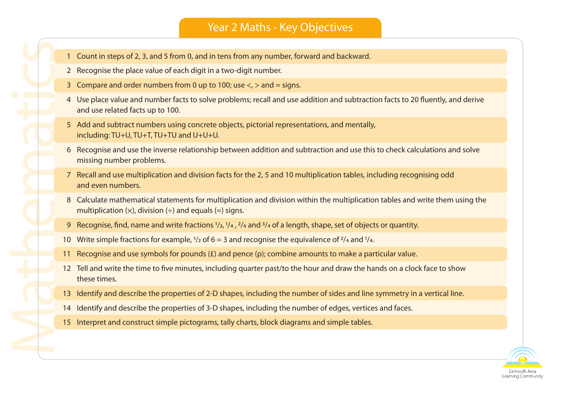#### Year 2 Maths - Key Objectives

- 1 Count in steps of 2, 3, and 5 from 0, and in tens from any number, forward and backward.
- 2 Recognise the place value of each digit in a two-digit number.

- 3 Compare and order numbers from 0 up to 100; use  $\langle \cdot \rangle$  and = signs.
- 4 Use place value and number facts to solve problems; recall and use addition and subtraction facts to 20 fluently, and derive and use related facts up to 100.
- 5 Add and subtract numbers using concrete objects, pictorial representations, and mentally, including: TU+U, TU+T, TU+TU and U+U+U.
- 6 Recognise and use the inverse relationship between addition and subtraction and use this to check calculations and solve missing number problems.
- 7 Recall and use multiplication and division facts for the 2, 5 and 10 multiplication tables, including recognising odd and even numbers.
- 8 Calculate mathematical statements for multiplication and division within the multiplication tables and write them using the multiplication  $(x)$ , division  $(+)$  and equals  $(=)$  signs.
- 9 Recognise, find, name and write fractions 1/3, 1/4 , 2/4 and 3/4 of a length, shape, set of objects or quantity.
- 10 Write simple fractions for example,  $1/2$  of 6 = 3 and recognise the equivalence of  $2/4$  and  $1/4$ .
- 11 Recognise and use symbols for pounds  $(E)$  and pence  $(p)$ ; combine amounts to make a particular value.
- 12 Tell and write the time to five minutes, including quarter past/to the hour and draw the hands on a clock face to show these times.
- 13 Identify and describe the properties of 2-D shapes, including the number of sides and line symmetry in a vertical line.
- 14 Identify and describe the properties of 3-D shapes, including the number of edges, vertices and faces.
- 15 Interpret and construct simple pictograms, tally charts, block diagrams and simple tables.

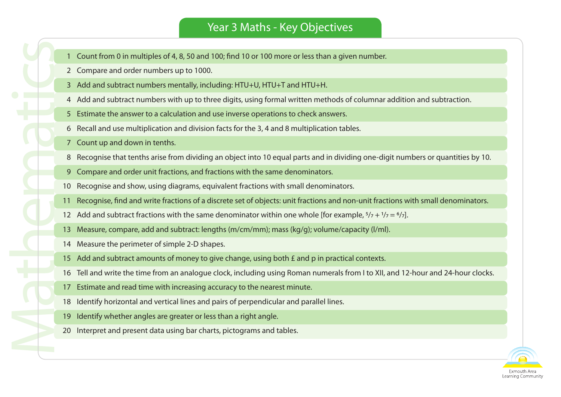# Year 3 Maths - Key Objectives

- 1 Count from 0 in multiples of 4, 8, 50 and 100; find 10 or 100 more or less than a given number.
- 2 Compare and order numbers up to 1000.
- 3 Add and subtract numbers mentally, including: HTU+U, HTU+T and HTU+H.
- 4 Add and subtract numbers with up to three digits, using formal written methods of columnar addition and subtraction.
- 5 Estimate the answer to a calculation and use inverse operations to check answers.
- 6 Recall and use multiplication and division facts for the 3, 4 and 8 multiplication tables.
- 7 Count up and down in tenths.

- 8 Recognise that tenths arise from dividing an object into 10 equal parts and in dividing one-digit numbers or quantities by 10.
- 9 Compare and order unit fractions, and fractions with the same denominators.
- 10 Recognise and show, using diagrams, equivalent fractions with small denominators.
- 11 Recognise, find and write fractions of a discrete set of objects: unit fractions and non-unit fractions with small denominators.
- 12 Add and subtract fractions with the same denominator within one whole [for example,  $5/7 + 1/7 = 6/7$ ].
- 13 Measure, compare, add and subtract: lengths (m/cm/mm); mass (kg/g); volume/capacity (l/ml).
- 14 Measure the perimeter of simple 2-D shapes.
- 15 Add and subtract amounts of money to give change, using both £ and p in practical contexts.
- 16 Tell and write the time from an analogue clock, including using Roman numerals from I to XII, and 12-hour and 24-hour clocks.
- 17 Estimate and read time with increasing accuracy to the nearest minute.
- 18 Identify horizontal and vertical lines and pairs of perpendicular and parallel lines.
- 19 Identify whether angles are greater or less than a right angle.
- 20 Interpret and present data using bar charts, pictograms and tables.

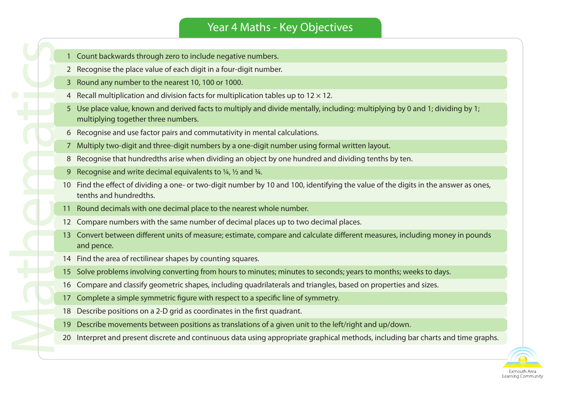# Year 4 Maths - Key Objectives

- 1 Count backwards through zero to include negative numbers.
- 2 Recognise the place value of each digit in a four-digit number.
- 3 Round any number to the nearest 10, 100 or 1000.
- 4 Recall multiplication and division facts for multiplication tables up to  $12 \times 12$ .
- 5 Use place value, known and derived facts to multiply and divide mentally, including: multiplying by 0 and 1; dividing by 1; multiplying together three numbers.
- 6 Recognise and use factor pairs and commutativity in mental calculations.
- 7 Multiply two-digit and three-digit numbers by a one-digit number using formal written layout.
- 8 Recognise that hundredths arise when dividing an object by one hundred and dividing tenths by ten.
- 9 Recognise and write decimal equivalents to  $\frac{1}{4}$ ,  $\frac{1}{2}$  and  $\frac{3}{4}$ .

- 10 Find the effect of dividing a one- or two-digit number by 10 and 100, identifying the value of the digits in the answer as ones, tenths and hundredths.
- 11 Round decimals with one decimal place to the nearest whole number.
- 12 Compare numbers with the same number of decimal places up to two decimal places.
- 13 Convert between different units of measure; estimate, compare and calculate different measures, including money in pounds and pence.
- 14 Find the area of rectilinear shapes by counting squares.
- 15 Solve problems involving converting from hours to minutes; minutes to seconds; years to months; weeks to days.
- 16 Compare and classify geometric shapes, including quadrilaterals and triangles, based on properties and sizes.
- 17 Complete a simple symmetric figure with respect to a specific line of symmetry.
- 18 Describe positions on a 2-D grid as coordinates in the first quadrant.
- 19 Describe movements between positions as translations of a given unit to the left/right and up/down.
- 20 Interpret and present discrete and continuous data using appropriate graphical methods, including bar charts and time graphs.

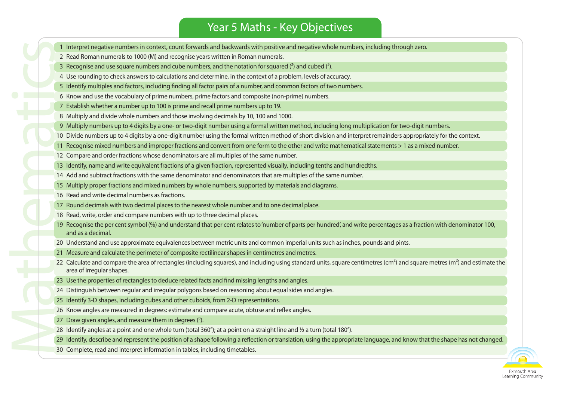# Year 5 Maths - Key Objectives

1 Interpret negative numbers in context, count forwards and backwards with positive and negative whole numbers, including through zero.

2 Read Roman numerals to 1000 (M) and recognise years written in Roman numerals.

3 Recognise and use square numbers and cube numbers, and the notation for squared  $\binom{3}{2}$  and cubed  $\binom{3}{2}$ .

4 Use rounding to check answers to calculations and determine, in the context of a problem, levels of accuracy.

5 Identify multiples and factors, including finding all factor pairs of a number, and common factors of two numbers.

6 Know and use the vocabulary of prime numbers, prime factors and composite (non-prime) numbers.

- 7 Establish whether a number up to 100 is prime and recall prime numbers up to 19.
- 8 Multiply and divide whole numbers and those involving decimals by 10, 100 and 1000.
- 9 Multiply numbers up to 4 digits by a one- or two-digit number using a formal written method, including long multiplication for two-digit numbers.
- 10 Divide numbers up to 4 digits by a one-digit number using the formal written method of short division and interpret remainders appropriately for the context.
- 11 Recognise mixed numbers and improper fractions and convert from one form to the other and write mathematical statements > 1 as a mixed number.
- 12 Compare and order fractions whose denominators are all multiples of the same number.
- 13 Identify, name and write equivalent fractions of a given fraction, represented visually, including tenths and hundredths.
- 14 Add and subtract fractions with the same denominator and denominators that are multiples of the same number.
- 15 Multiply proper fractions and mixed numbers by whole numbers, supported by materials and diagrams.
- 16 Read and write decimal numbers as fractions.

- 17 Round decimals with two decimal places to the nearest whole number and to one decimal place.
- 18 Read, write, order and compare numbers with up to three decimal places.
- 19 Recognise the per cent symbol (%) and understand that per cent relates to 'number of parts per hundred', and write percentages as a fraction with denominator 100, and as a decimal.
- 20 Understand and use approximate equivalences between metric units and common imperial units such as inches, pounds and pints.
- 21 Measure and calculate the perimeter of composite rectilinear shapes in centimetres and metres.
- 22 Calculate and compare the area of rectangles (including squares), and including using standard units, square centimetres (cm<sup>2</sup>) and square metres (m<sup>2</sup>) and estimate the area of irregular shapes.
- 23 Use the properties of rectangles to deduce related facts and find missing lengths and angles.
- 24 Distinguish between regular and irregular polygons based on reasoning about equal sides and angles.
- 25 Identify 3-D shapes, including cubes and other cuboids, from 2-D representations.
- 26 Know angles are measured in degrees: estimate and compare acute, obtuse and reflex angles.
- 27 Draw given angles, and measure them in degrees (°).
- 28 Identify angles at a point and one whole turn (total 360°); at a point on a straight line and  $\frac{1}{2}$  a turn (total 180°).
- 29 Identify, describe and represent the position of a shape following a reflection or translation, using the appropriate language, and know that the shape has not changed.
- 30 Complete, read and interpret information in tables, including timetables.